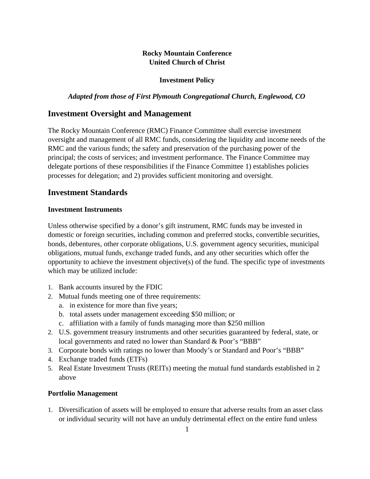## **Rocky Mountain Conference United Church of Christ**

#### **Investment Policy**

## *Adapted from those of First Plymouth Congregational Church, Englewood, CO*

# **Investment Oversight and Management**

The Rocky Mountain Conference (RMC) Finance Committee shall exercise investment oversight and management of all RMC funds, considering the liquidity and income needs of the RMC and the various funds; the safety and preservation of the purchasing power of the principal; the costs of services; and investment performance. The Finance Committee may delegate portions of these responsibilities if the Finance Committee 1) establishes policies processes for delegation; and 2) provides sufficient monitoring and oversight.

## **Investment Standards**

#### **Investment Instruments**

Unless otherwise specified by a donor's gift instrument, RMC funds may be invested in domestic or foreign securities, including common and preferred stocks, convertible securities, bonds, debentures, other corporate obligations, U.S. government agency securities, municipal obligations, mutual funds, exchange traded funds, and any other securities which offer the opportunity to achieve the investment objective(s) of the fund. The specific type of investments which may be utilized include:

- 1. Bank accounts insured by the FDIC
- 2. Mutual funds meeting one of three requirements:
	- a. in existence for more than five years;
	- b. total assets under management exceeding \$50 million; or
	- c. affiliation with a family of funds managing more than \$250 million
- 2. U.S. government treasury instruments and other securities guaranteed by federal, state, or local governments and rated no lower than Standard & Poor's "BBB"
- 3. Corporate bonds with ratings no lower than Moody's or Standard and Poor's "BBB"
- 4. Exchange traded funds (ETFs)
- 5. Real Estate Investment Trusts (REITs) meeting the mutual fund standards established in 2 above

#### **Portfolio Management**

1. Diversification of assets will be employed to ensure that adverse results from an asset class or individual security will not have an unduly detrimental effect on the entire fund unless